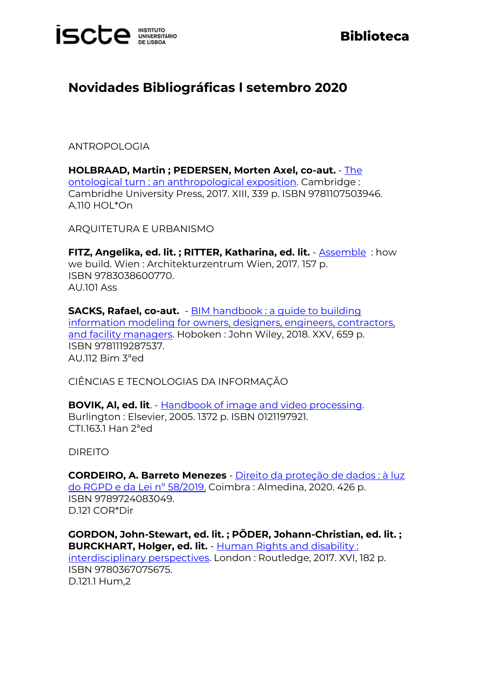

## **Biblioteca**

## **Novidades Bibliográficas l setembro 2020**

ANTROPOLOGIA

**HOLBRAAD, Martin ; PEDERSEN, Morten Axel, co-aut.** - [The](http://catalogo.biblioteca.iscte-iul.pt/cgi-bin/koha/opac-detail.pl?biblionumber=107290)  [ontological turn : an anthropological exposition.](http://catalogo.biblioteca.iscte-iul.pt/cgi-bin/koha/opac-detail.pl?biblionumber=107290) Cambridge : Cambridhe University Press, 2017. XIII, 339 p. ISBN 9781107503946. A.110 HOL\*On

ARQUITETURA E URBANISMO

**FITZ, Angelika, ed. lit. ; RITTER, Katharina, ed. lit.** - [Assemble](http://catalogo.biblioteca.iscte-iul.pt/cgi-bin/koha/opac-detail.pl?biblionumber=107221) : how we build. Wien : Architekturzentrum Wien, 2017. 157 p. ISBN 9783038600770. AU.101 Ass

**SACKS, Rafael, co-aut.** - [BIM handbook : a guide to building](http://catalogo.biblioteca.iscte-iul.pt/cgi-bin/koha/opac-detail.pl?biblionumber=105399)  [information modeling for owners, designers, engineers, contractors,](http://catalogo.biblioteca.iscte-iul.pt/cgi-bin/koha/opac-detail.pl?biblionumber=105399)  [and facility managers.](http://catalogo.biblioteca.iscte-iul.pt/cgi-bin/koha/opac-detail.pl?biblionumber=105399) Hoboken : John Wiley, 2018. XXV, 659 p. ISBN 9781119287537. AU.112 Bim 3ªed

CIÊNCIAS E TECNOLOGIAS DA INFORMAÇÃO

**BOVIK, Al, ed. lit**. - [Handbook of image and video processing.](http://catalogo.biblioteca.iscte-iul.pt/cgi-bin/koha/opac-detail.pl?biblionumber=107167) Burlington : Elsevier, 2005. 1372 p. ISBN 0121197921. CTI.163.1 Han 2ªed

DIREITO

**CORDEIRO, A. Barreto Menezes** - [Direito da proteção de dados : à luz](http://catalogo.biblioteca.iscte-iul.pt/cgi-bin/koha/opac-detail.pl?biblionumber=107285)  [do RGPD e da Lei nº 58/2019.](http://catalogo.biblioteca.iscte-iul.pt/cgi-bin/koha/opac-detail.pl?biblionumber=107285) Coimbra : Almedina, 2020. 426 p. ISBN 9789724083049. D.121 COR\*Dir

**GORDON, John-Stewart, ed. lit. ; PÕDER, Johann-Christian, ed. lit. ; BURCKHART, Holger, ed. lit.** - [Human Rights and disability :](http://catalogo.biblioteca.iscte-iul.pt/cgi-bin/koha/opac-detail.pl?biblionumber=106724)  [interdisciplinary perspectives.](http://catalogo.biblioteca.iscte-iul.pt/cgi-bin/koha/opac-detail.pl?biblionumber=106724) London : Routledge, 2017. XVI, 182 p. ISBN 9780367075675. D.121.1 Hum,2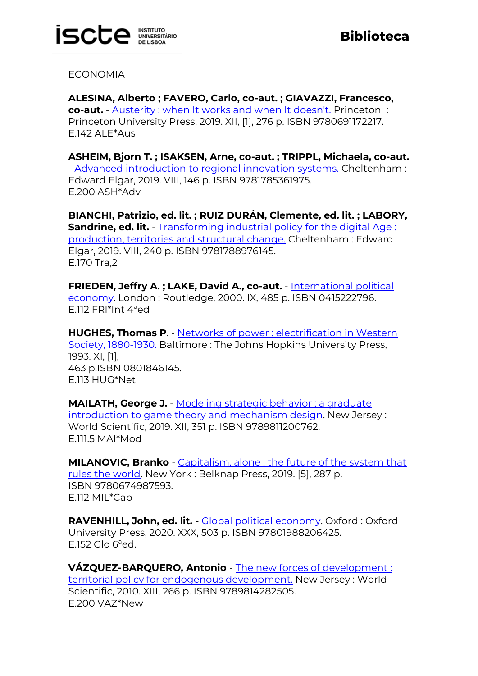

ECONOMIA

**ALESINA, Alberto ; FAVERO, Carlo, co-aut. ; GIAVAZZI, Francesco, co-aut.** - [Austerity : when It works and when It doesn't.](http://catalogo.biblioteca.iscte-iul.pt/cgi-bin/koha/opac-detail.pl?biblionumber=107288) Princeton : Princeton University Press, 2019. XII, [1], 276 p. ISBN 9780691172217. E.142 ALE\*Aus

**ASHEIM, Bjorn T. ; ISAKSEN, Arne, co-aut. ; TRIPPL, Michaela, co-aut.** - [Advanced introduction to regional innovation systems.](http://catalogo.biblioteca.iscte-iul.pt/cgi-bin/koha/opac-detail.pl?biblionumber=107224) Cheltenham : Edward Elgar, 2019. VIII, 146 p. ISBN 9781785361975. E.200 ASH\*Adv

**BIANCHI, Patrizio, ed. lit. ; RUIZ DURÁN, Clemente, ed. lit. ; LABORY, Sandrine, ed. lit.** - Transforming industrial policy for the digital Age: [production, territories and structural change.](http://catalogo.biblioteca.iscte-iul.pt/cgi-bin/koha/opac-detail.pl?biblionumber=107220) Cheltenham : Edward Elgar, 2019. VIII, 240 p. ISBN 9781788976145. E.170 Tra,2

**FRIEDEN, Jeffry A. ; LAKE, David A., co-aut.** - [International political](http://catalogo.biblioteca.iscte-iul.pt/cgi-bin/koha/opac-detail.pl?biblionumber=107289)  [economy.](http://catalogo.biblioteca.iscte-iul.pt/cgi-bin/koha/opac-detail.pl?biblionumber=107289) London : Routledge, 2000. IX, 485 p. ISBN 0415222796. E.112 FRI\*Int 4ªed

**HUGHES, Thomas P**. - Networks of [power : electrification in Western](http://catalogo.biblioteca.iscte-iul.pt/cgi-bin/koha/opac-detail.pl?biblionumber=107217)  [Society, 1880-1930.](http://catalogo.biblioteca.iscte-iul.pt/cgi-bin/koha/opac-detail.pl?biblionumber=107217) Baltimore : The Johns Hopkins University Press, 1993. XI, [1], 463 p.ISBN 0801846145. E.113 HUG\*Net

**MAILATH, George J.** - [Modeling strategic behavior : a graduate](http://catalogo.biblioteca.iscte-iul.pt/cgi-bin/koha/opac-detail.pl?biblionumber=107223)  [introduction to game theory and mechanism design.](http://catalogo.biblioteca.iscte-iul.pt/cgi-bin/koha/opac-detail.pl?biblionumber=107223) New Jersey: World Scientific, 2019. XII, 351 p. ISBN 9789811200762. E.111.5 MAI\*Mod

**MILANOVIC, Branko** - [Capitalism, alone : the future of the system that](http://catalogo.biblioteca.iscte-iul.pt/cgi-bin/koha/opac-detail.pl?biblionumber=107286)  [rules the world.](http://catalogo.biblioteca.iscte-iul.pt/cgi-bin/koha/opac-detail.pl?biblionumber=107286) New York: Belknap Press, 2019. [5], 287 p. ISBN 9780674987593. E.112 MIL\*Cap

**RAVENHILL, John, ed. lit. -** [Global political economy.](http://catalogo.biblioteca.iscte-iul.pt/cgi-bin/koha/opac-detail.pl?biblionumber=107291) Oxford : Oxford University Press, 2020. XXX, 503 p. ISBN 97801988206425. E.152 Glo 6ªed.

**VÁZQUEZ-BARQUERO, Antonio** - [The new forces of development :](http://catalogo.biblioteca.iscte-iul.pt/cgi-bin/koha/opac-detail.pl?biblionumber=107227)  [territorial policy for endogenous development.](http://catalogo.biblioteca.iscte-iul.pt/cgi-bin/koha/opac-detail.pl?biblionumber=107227) New Jersey : World Scientific, 2010. XIII, 266 p. ISBN 9789814282505. E.200 VAZ\*New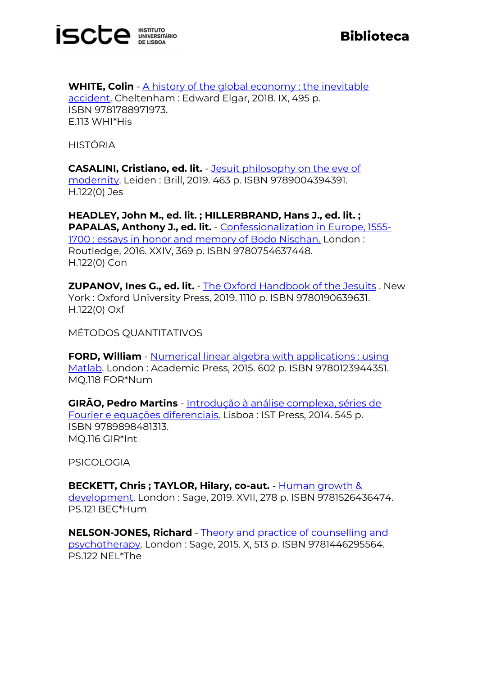

**WHITE, Colin** - A history of the global economy: the inevitable [accident.](http://catalogo.biblioteca.iscte-iul.pt/cgi-bin/koha/opac-detail.pl?biblionumber=107225) Cheltenham : Edward Elgar, 2018. IX, 495 p. ISBN 9781788971973. E.113 WHI\*His

HISTÓRIA

**CASALINI, Cristiano, ed. lit.** - [Jesuit philosophy on the eve of](http://catalogo.biblioteca.iscte-iul.pt/cgi-bin/koha/opac-detail.pl?biblionumber=107169)  [modernity.](http://catalogo.biblioteca.iscte-iul.pt/cgi-bin/koha/opac-detail.pl?biblionumber=107169) Leiden : Brill, 2019. 463 p. ISBN 9789004394391. H.122(0) Jes

**HEADLEY, John M., ed. lit. ; HILLERBRAND, Hans J., ed. lit. ; PAPALAS, Anthony J., ed. lit.** - [Confessionalization in Europe, 1555-](http://catalogo.biblioteca.iscte-iul.pt/cgi-bin/koha/opac-detail.pl?biblionumber=107226) [1700 : essays in honor and memory of Bodo Nischan.](http://catalogo.biblioteca.iscte-iul.pt/cgi-bin/koha/opac-detail.pl?biblionumber=107226) London : Routledge, 2016. XXIV, 369 p. ISBN 9780754637448. H.122(0) Con

**ZUPANOV, Ines G., ed. lit.** - [The Oxford Handbook of the Jesuits](http://catalogo.biblioteca.iscte-iul.pt/cgi-bin/koha/opac-detail.pl?biblionumber=107206) . New York : Oxford University Press, 2019. 1110 p. ISBN 9780190639631. H.122(0) Oxf

MÉTODOS QUANTITATIVOS

**FORD, William** - Numerical linear algebra with applications : using [Matlab.](http://catalogo.biblioteca.iscte-iul.pt/cgi-bin/koha/opac-detail.pl?biblionumber=107106) London : Academic Press, 2015. 602 p. ISBN 9780123944351. MQ.118 FOR\*Num

**GIRÃO, Pedro Martins** - [Introdução à análise complexa, séries de](http://catalogo.biblioteca.iscte-iul.pt/cgi-bin/koha/opac-detail.pl?biblionumber=107104)  [Fourier e equações diferenciais.](http://catalogo.biblioteca.iscte-iul.pt/cgi-bin/koha/opac-detail.pl?biblionumber=107104) Lisboa : IST Press, 2014. 545 p. ISBN 9789898481313. MQ.116 GIR\*Int

PSICOLOGIA

**BECKETT, Chris ; TAYLOR, Hilary, co-aut.** - [Human growth &](http://catalogo.biblioteca.iscte-iul.pt/cgi-bin/koha/opac-detail.pl?biblionumber=106823)  [development.](http://catalogo.biblioteca.iscte-iul.pt/cgi-bin/koha/opac-detail.pl?biblionumber=106823) London : Sage, 2019. XVII, 278 p. ISBN 9781526436474. PS.121 BEC\*Hum

**NELSON-JONES, Richard** - [Theory and practice of counselling and](http://catalogo.biblioteca.iscte-iul.pt/cgi-bin/koha/opac-detail.pl?biblionumber=106825)  [psychotherapy.](http://catalogo.biblioteca.iscte-iul.pt/cgi-bin/koha/opac-detail.pl?biblionumber=106825) London : Sage, 2015. X, 513 p. ISBN 9781446295564. PS.122 NEL\*The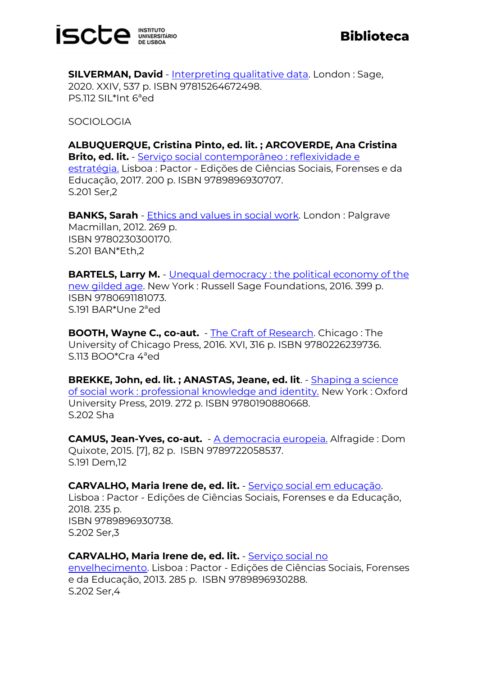

**SILVERMAN, David** - [Interpreting qualitative data.](http://catalogo.biblioteca.iscte-iul.pt/cgi-bin/koha/opac-detail.pl?biblionumber=107231) London: Sage, 2020. XXIV, 537 p. ISBN 97815264672498. PS.112 SIL\*Int 6ªed

SOCIOLOGIA

**ALBUQUERQUE, Cristina Pinto, ed. lit. ; ARCOVERDE, Ana Cristina Brito, ed. lit.** - [Serviço social contemporâneo : reflexividade e](http://catalogo.biblioteca.iscte-iul.pt/cgi-bin/koha/opac-detail.pl?biblionumber=106515)  [estratégia.](http://catalogo.biblioteca.iscte-iul.pt/cgi-bin/koha/opac-detail.pl?biblionumber=106515) Lisboa : Pactor - Edições de Ciências Sociais, Forenses e da Educação, 2017. 200 p. ISBN 9789896930707. S.201 Ser,2

**BANKS, Sarah** - [Ethics and values in social work.](http://catalogo.biblioteca.iscte-iul.pt/cgi-bin/koha/opac-detail.pl?biblionumber=106729) London : Palgrave Macmillan, 2012. 269 p. ISBN 9780230300170. S.201 BAN\*Eth,2

**BARTELS, Larry M.** - Unequal democracy: the political economy of the [new gilded age.](http://catalogo.biblioteca.iscte-iul.pt/cgi-bin/koha/opac-detail.pl?biblionumber=107168) New York : Russell Sage Foundations, 2016. 399 p. ISBN 9780691181073. S.191 BAR\*Une 2ªed

**BOOTH, Wayne C., co-aut.** - [The Craft of Research.](http://catalogo.biblioteca.iscte-iul.pt/cgi-bin/koha/opac-detail.pl?biblionumber=107214) Chicago : The University of Chicago Press, 2016. XVI, 316 p. ISBN 9780226239736. S.113 BOO\*Cra 4ªed

**BREKKE, John, ed. lit. ; ANASTAS, Jeane, ed. lit**. - [Shaping a science](http://catalogo.biblioteca.iscte-iul.pt/cgi-bin/koha/opac-detail.pl?biblionumber=106514)  [of social work : professional knowledge and identity.](http://catalogo.biblioteca.iscte-iul.pt/cgi-bin/koha/opac-detail.pl?biblionumber=106514) New York : Oxford University Press, 2019. 272 p. ISBN 9780190880668. S.202 Sha

**CAMUS, Jean-Yves, co-aut.** - [A democracia europeia.](http://catalogo.biblioteca.iscte-iul.pt/cgi-bin/koha/opac-detail.pl?biblionumber=103264) Alfragide : Dom Quixote, 2015. [7], 82 p. ISBN 9789722058537. S.191 Dem,12

**CARVALHO, Maria Irene de, ed. lit.** - [Serviço social em educação.](http://catalogo.biblioteca.iscte-iul.pt/cgi-bin/koha/opac-detail.pl?biblionumber=106842) Lisboa : Pactor - Edições de Ciências Sociais, Forenses e da Educação, 2018. 235 p. ISBN 9789896930738. S.202 Ser,3

## **CARVALHO, Maria Irene de, ed. lit.** - [Serviço social no](http://catalogo.biblioteca.iscte-iul.pt/cgi-bin/koha/opac-detail.pl?biblionumber=106843)

[envelhecimento.](http://catalogo.biblioteca.iscte-iul.pt/cgi-bin/koha/opac-detail.pl?biblionumber=106843) Lisboa : Pactor - Edições de Ciências Sociais, Forenses e da Educação, 2013. 285 p. ISBN 9789896930288. S.202 Ser,4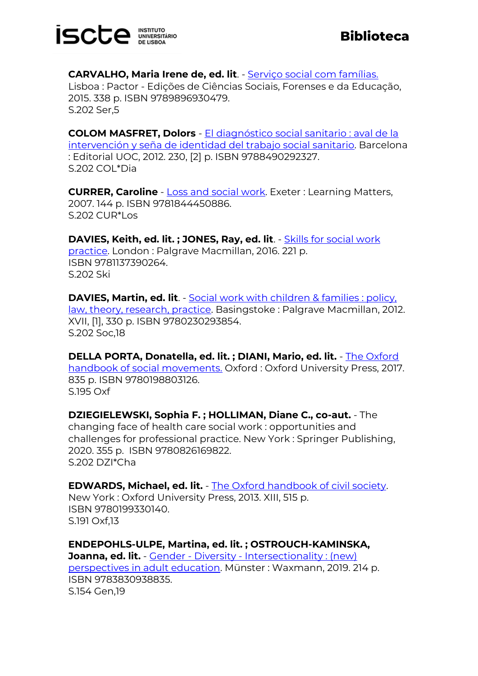

**CARVALHO, Maria Irene de, ed. lit**. - [Serviço social com famílias.](http://catalogo.biblioteca.iscte-iul.pt/cgi-bin/koha/opac-detail.pl?biblionumber=106844) Lisboa : Pactor - Edições de Ciências Sociais, Forenses e da Educação, 2015. 338 p. ISBN 9789896930479. S.202 Ser,5

**COLOM MASFRET, Dolors** - [El diagnóstico social sanitario : aval de la](http://catalogo.biblioteca.iscte-iul.pt/cgi-bin/koha/opac-detail.pl?biblionumber=106750)  [intervención y seña de identidad del trabajo social sanitario.](http://catalogo.biblioteca.iscte-iul.pt/cgi-bin/koha/opac-detail.pl?biblionumber=106750) Barcelona : Editorial UOC, 2012. 230, [2] p. ISBN 9788490292327. S.202 COL\*Dia

**CURRER, Caroline** - **[Loss and social work.](http://catalogo.biblioteca.iscte-iul.pt/cgi-bin/koha/opac-detail.pl?biblionumber=106519) Exeter : Learning Matters,** 2007. 144 p. ISBN 9781844450886. S.202 CUR\*Los

**DAVIES, Keith, ed. lit. ; JONES, Ray, ed. lit**. - [Skills for social work](http://catalogo.biblioteca.iscte-iul.pt/cgi-bin/koha/opac-detail.pl?biblionumber=106688)  [practice.](http://catalogo.biblioteca.iscte-iul.pt/cgi-bin/koha/opac-detail.pl?biblionumber=106688) London : Palgrave Macmillan, 2016. 221 p. ISBN 9781137390264. S.202 Ski

**DAVIES, Martin, ed. lit**. - **[Social work with children & families](http://catalogo.biblioteca.iscte-iul.pt/cgi-bin/koha/opac-detail.pl?biblionumber=106692) : policy**, [law, theory, research, practice.](http://catalogo.biblioteca.iscte-iul.pt/cgi-bin/koha/opac-detail.pl?biblionumber=106692) Basingstoke : Palgrave Macmillan, 2012. XVII, [1], 330 p. ISBN 9780230293854. S.202 Soc,18

**DELLA PORTA, Donatella, ed. lit. ; DIANI, Mario, ed. lit.** - [The Oxford](http://catalogo.biblioteca.iscte-iul.pt/cgi-bin/koha/opac-detail.pl?biblionumber=107209)  [handbook of social movements.](http://catalogo.biblioteca.iscte-iul.pt/cgi-bin/koha/opac-detail.pl?biblionumber=107209) Oxford : Oxford University Press, 2017. 835 p. ISBN 9780198803126. S.195 Oxf

**DZIEGIELEWSKI, Sophia F. ; HOLLIMAN, Diane C., co-aut.** - The changing face of health care social work : opportunities and challenges for professional practice. New York : Springer Publishing, 2020. 355 p. ISBN 9780826169822. S.202 DZI\*Cha

**EDWARDS, Michael, ed. lit.** - [The Oxford handbook of civil society.](http://catalogo.biblioteca.iscte-iul.pt/cgi-bin/koha/opac-detail.pl?biblionumber=107230) New York : Oxford University Press, 2013. XIII, 515 p. ISBN 9780199330140. S.191 Oxf,13

**ENDEPOHLS-ULPE, Martina, ed. lit. ; OSTROUCH-KAMINSKA, Joanna, ed. lit.** - Gender - Diversity - Intersectionality: (new) [perspectives in adult education.](http://catalogo.biblioteca.iscte-iul.pt/cgi-bin/koha/opac-detail.pl?biblionumber=107212) Münster : Waxmann, 2019. 214 p. ISBN 9783830938835. S.154 Gen,19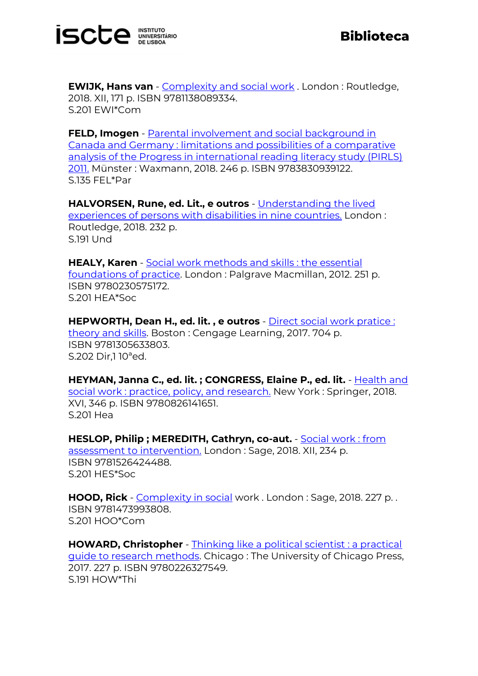

**EWIJK, Hans van** - **[Complexity and social work](http://catalogo.biblioteca.iscte-iul.pt/cgi-bin/koha/opac-detail.pl?biblionumber=106726)** . London : Routledge, 2018. XII, 171 p. ISBN 9781138089334. S.201 EWI\*Com

**FELD, Imogen** - **Parental involvement and social background in** [Canada and Germany : limitations and possibilities of a comparative](http://catalogo.biblioteca.iscte-iul.pt/cgi-bin/koha/opac-detail.pl?biblionumber=107216)  [analysis of the Progress in international reading literacy study \(PIRLS\)](http://catalogo.biblioteca.iscte-iul.pt/cgi-bin/koha/opac-detail.pl?biblionumber=107216)  [2011.](http://catalogo.biblioteca.iscte-iul.pt/cgi-bin/koha/opac-detail.pl?biblionumber=107216) Münster : Waxmann, 2018. 246 p. ISBN 9783830939122. S.135 FEL\*Par

**HALVORSEN, Rune, ed. Lit., e outros** - [Understanding the lived](http://catalogo.biblioteca.iscte-iul.pt/cgi-bin/koha/opac-detail.pl?biblionumber=106727)  [experiences of persons with disabilities in nine countries.](http://catalogo.biblioteca.iscte-iul.pt/cgi-bin/koha/opac-detail.pl?biblionumber=106727) London : Routledge, 2018. 232 p. S.191 Und

**HEALY, Karen** - [Social work methods and skills : the essential](http://catalogo.biblioteca.iscte-iul.pt/cgi-bin/koha/opac-detail.pl?biblionumber=106691)  [foundations of practice.](http://catalogo.biblioteca.iscte-iul.pt/cgi-bin/koha/opac-detail.pl?biblionumber=106691) London : Palgrave Macmillan, 2012. 251 p. ISBN 9780230575172. S.201 HEA\*Soc

**HEPWORTH, Dean H., ed. lit. , e outros** - [Direct social work pratice :](http://catalogo.biblioteca.iscte-iul.pt/cgi-bin/koha/opac-detail.pl?biblionumber=106517)  [theory and skills.](http://catalogo.biblioteca.iscte-iul.pt/cgi-bin/koha/opac-detail.pl?biblionumber=106517) Boston : Cengage Learning, 2017. 704 p. ISBN 9781305633803. S.202 Dir,1 10ªed.

**HEYMAN, Janna C., ed. lit. ; CONGRESS, Elaine P., ed. lit.** - Health and [social work : practice, policy, and research.](http://catalogo.biblioteca.iscte-iul.pt/cgi-bin/koha/opac-detail.pl?biblionumber=106730) New York : Springer, 2018. XVI, 346 p. ISBN 9780826141651. S.201 Hea

**HESLOP, Philip ; MEREDITH, Cathryn, co-aut.** - [Social work : from](http://catalogo.biblioteca.iscte-iul.pt/cgi-bin/koha/opac-detail.pl?biblionumber=106822)  [assessment to intervention.](http://catalogo.biblioteca.iscte-iul.pt/cgi-bin/koha/opac-detail.pl?biblionumber=106822) London : Sage, 2018. XII, 234 p. ISBN 9781526424488. S.201 HES\*Soc

**HOOD, Rick** - [Complexity in social](http://catalogo.biblioteca.iscte-iul.pt/cgi-bin/koha/opac-detail.pl?biblionumber=106820) work . London : Sage, 2018. 227 p. . ISBN 9781473993808. S.201 HOO\*Com

**HOWARD, Christopher** - [Thinking like a political scientist : a practical](http://catalogo.biblioteca.iscte-iul.pt/cgi-bin/koha/opac-detail.pl?biblionumber=107208)  [guide to research methods.](http://catalogo.biblioteca.iscte-iul.pt/cgi-bin/koha/opac-detail.pl?biblionumber=107208) Chicago : The University of Chicago Press, 2017. 227 p. ISBN 9780226327549. S.191 HOW\*Thi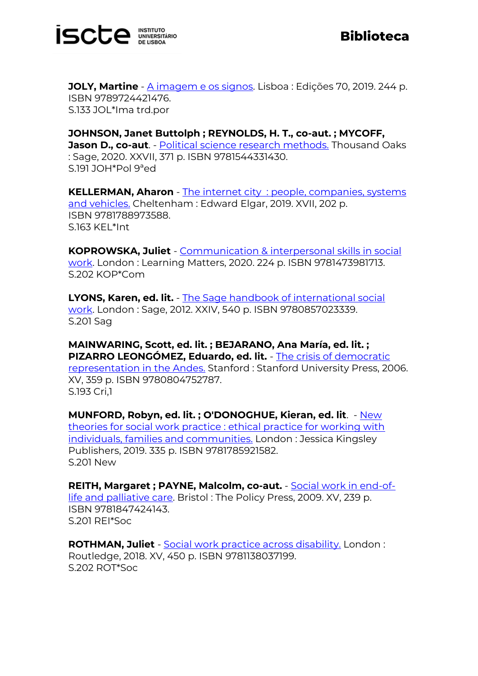

**JOLY, Martine** - <u>A imagem e os signos</u>. Lisboa : Edições 70, 2019. 244 p. ISBN 9789724421476. S.133 JOL\*Ima trd.por

**JOHNSON, Janet Buttolph ; REYNOLDS, H. T., co-aut. ; MYCOFF, Jason D., co-aut**. - [Political science research methods.](http://catalogo.biblioteca.iscte-iul.pt/cgi-bin/koha/opac-detail.pl?biblionumber=107229) Thousand Oaks : Sage, 2020. XXVII, 371 p. ISBN 9781544331430. S.191 JOH\*Pol 9ªed

**KELLERMAN, Aharon** - The internet city [: people, companies, systems](http://catalogo.biblioteca.iscte-iul.pt/cgi-bin/koha/opac-detail.pl?biblionumber=107222)  [and vehicles.](http://catalogo.biblioteca.iscte-iul.pt/cgi-bin/koha/opac-detail.pl?biblionumber=107222) Cheltenham : Edward Elgar, 2019. XVII, 202 p. ISBN 9781788973588. S.163 KEL\*Int

**KOPROWSKA, Juliet** - [Communication & interpersonal skills in social](http://catalogo.biblioteca.iscte-iul.pt/cgi-bin/koha/opac-detail.pl?biblionumber=106520)  [work.](http://catalogo.biblioteca.iscte-iul.pt/cgi-bin/koha/opac-detail.pl?biblionumber=106520) London : Learning Matters, 2020. 224 p. ISBN 9781473981713. S.202 KOP\*Com

**LYONS, Karen, ed. lit.** - [The Sage handbook of international social](http://catalogo.biblioteca.iscte-iul.pt/cgi-bin/koha/opac-detail.pl?biblionumber=93354)  [work.](http://catalogo.biblioteca.iscte-iul.pt/cgi-bin/koha/opac-detail.pl?biblionumber=93354) London : Sage, 2012. XXIV, 540 p. ISBN 9780857023339. S.201 Sag

**MAINWARING, Scott, ed. lit. ; BEJARANO, Ana María, ed. lit. ; PIZARRO LEONGÓMEZ, Eduardo, ed. lit.** - [The crisis of democratic](http://catalogo.biblioteca.iscte-iul.pt/cgi-bin/koha/opac-detail.pl?biblionumber=107219)  [representation in the Andes.](http://catalogo.biblioteca.iscte-iul.pt/cgi-bin/koha/opac-detail.pl?biblionumber=107219) Stanford : Stanford University Press, 2006. XV, 359 p. ISBN 9780804752787. S.193 Cri,1

**MUNFORD, Robyn, ed. lit. ; O'DONOGHUE, Kieran, ed. lit**. - [New](http://catalogo.biblioteca.iscte-iul.pt/cgi-bin/koha/opac-detail.pl?biblionumber=106821)  [theories for social work practice : ethical practice for working with](http://catalogo.biblioteca.iscte-iul.pt/cgi-bin/koha/opac-detail.pl?biblionumber=106821)  [individuals, families and communities.](http://catalogo.biblioteca.iscte-iul.pt/cgi-bin/koha/opac-detail.pl?biblionumber=106821) London : Jessica Kingsley Publishers, 2019. 335 p. ISBN 9781785921582. S.201 New

**REITH, Margaret ; PAYNE, Malcolm, co-aut.** - [Social work in end-of](http://catalogo.biblioteca.iscte-iul.pt/cgi-bin/koha/opac-detail.pl?biblionumber=106824)[life and palliative care.](http://catalogo.biblioteca.iscte-iul.pt/cgi-bin/koha/opac-detail.pl?biblionumber=106824) Bristol : The Policy Press, 2009. XV, 239 p. ISBN 9781847424143. S.201 REI\*Soc

**ROTHMAN, Juliet** - [Social work practice across disability.](http://catalogo.biblioteca.iscte-iul.pt/cgi-bin/koha/opac-detail.pl?biblionumber=106725) London : Routledge, 2018. XV, 450 p. ISBN 9781138037199. S.202 ROT\*Soc